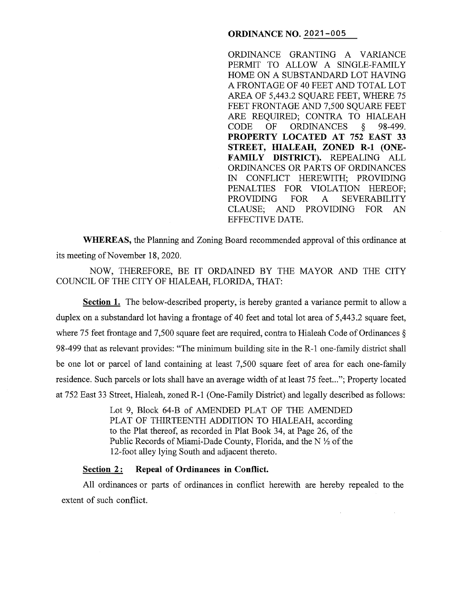## **ORDINANCE NO. 2021-005**

ORDINANCE GRANTING A VARIANCE PERMIT TO ALLOW A SINGLE-FAMILY HOME ON A SUBSTANDARD LOT HAVING A FRONTAGE OF 40 FEET AND TOTAL LOT AREA OF 5,443.2 SQUARE FEET, WHERE 75 FEET FRONTAGE AND 7,500 SQUARE FEET ARE REQUIRED; CONTRA TO HIALEAH CODE OF ORDINANCES § 98-499. **PROPERTY LOCATED AT 752 EAST 33 STREET, HIALEAH, ZONED R-1 (ONE-FAMILY DISTRICT).** REPEALING ALL ORDINANCES OR PARTS OF ORDINANCES IN CONFLICT HEREWITH; PROVIDING PENALTIES FOR VIOLATION HEREOF; PROVIDING FOR A SEVERABILITY CLAUSE; AND PROVIDING FOR AN EFFECTIVE DATE.

**WHEREAS,** the Planning and Zoning Board recommended approval of this ordinance at its meeting of November 18, 2020.

NOW, THEREFORE, BE IT ORDAINED BY THE MAYOR AND THE CITY COUNCIL OF THE CITY OF HIALEAH, FLORIDA, THAT:

**Section 1.** The below-described property, is hereby granted a variance permit to allow a duplex on a substandard lot having a frontage of 40 feet and total lot area of 5,443.2 square feet, where 75 feet frontage and 7,500 square feet are required, contra to Hialeah Code of Ordinances § 98-499 that as relevant provides: "The minimum building site in the R-1 one-family district shall be one lot or parcel of land containing at least 7,500 square feet of area for each one-family residence. Such parcels or lots shall have an average width of at least 75 feet..."; Property located at 752 East 33 Street, Hialeah, zoned R-1 (One-Family District) and legally described as follows:

> Lot 9, Block 64-B of AMENDED PLAT OF THE AMENDED PLAT OF THIRTEENTH ADDITION TO HIALEAH, according to the Plat thereof, as recorded in Plat Book 34, at Page 26, of the Public Records of Miami-Dade County, Florida, and the  $N \frac{1}{2}$  of the 12-foot alley lying South and adjacent thereto.

## Section 2: Repeal of Ordinances in Conflict.

All ordinances or parts of ordinances in conflict herewith are hereby repealed to the extent of such conflict.